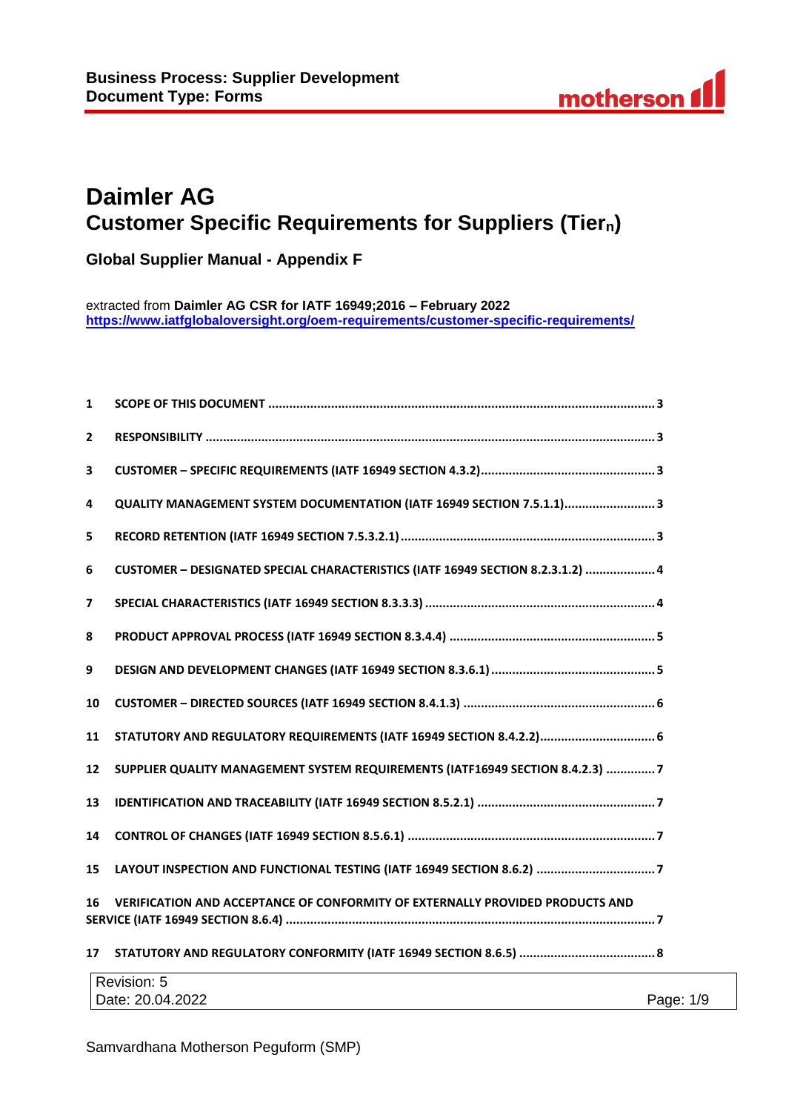# **Daimler AG Customer Specific Requirements for Suppliers (Tiern)**

**Global Supplier Manual - Appendix F**

extracted from **Daimler AG CSR for IATF 16949;2016 – February 2022 <https://www.iatfglobaloversight.org/oem-requirements/customer-specific-requirements/>**

| $\mathbf{1}$ |                                                                                 |
|--------------|---------------------------------------------------------------------------------|
| $\mathbf{2}$ |                                                                                 |
| 3            |                                                                                 |
| 4            | QUALITY MANAGEMENT SYSTEM DOCUMENTATION (IATF 16949 SECTION 7.5.1.1) 3          |
| 5            |                                                                                 |
| 6            | CUSTOMER - DESIGNATED SPECIAL CHARACTERISTICS (IATF 16949 SECTION 8.2.3.1.2)  4 |
| 7            |                                                                                 |
| 8            |                                                                                 |
| 9            |                                                                                 |
| 10           |                                                                                 |
| 11           |                                                                                 |
| 12           | SUPPLIER QUALITY MANAGEMENT SYSTEM REQUIREMENTS (IATF16949 SECTION 8.4.2.3) 7   |
| 13           |                                                                                 |
| 14           |                                                                                 |
| 15           | LAYOUT INSPECTION AND FUNCTIONAL TESTING (IATF 16949 SECTION 8.6.2) 7           |
| 16           | VERIFICATION AND ACCEPTANCE OF CONFORMITY OF EXTERNALLY PROVIDED PRODUCTS AND   |
| 17           |                                                                                 |
|              | $D$ outside $F$                                                                 |

| Revision: 5      |              |
|------------------|--------------|
| Date: 20.04.2022 | 1/9<br>Page: |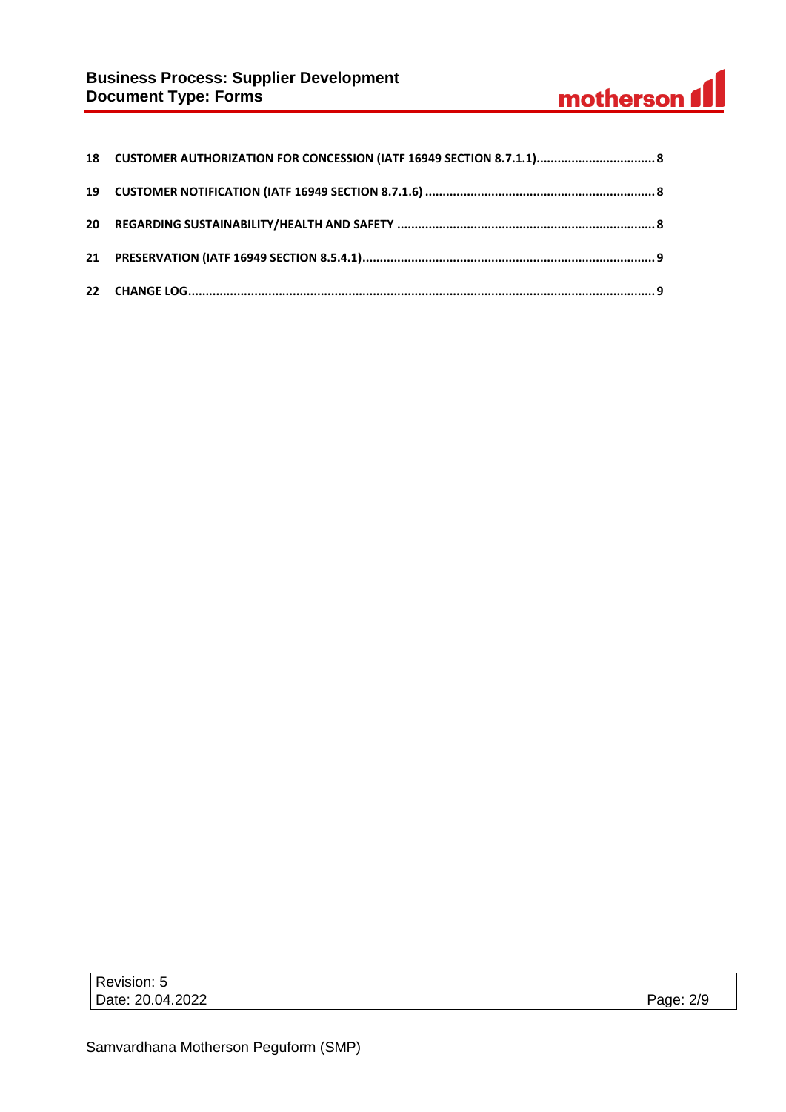# **Business Process: Supplier Development Document Type: Forms**

# motherson 1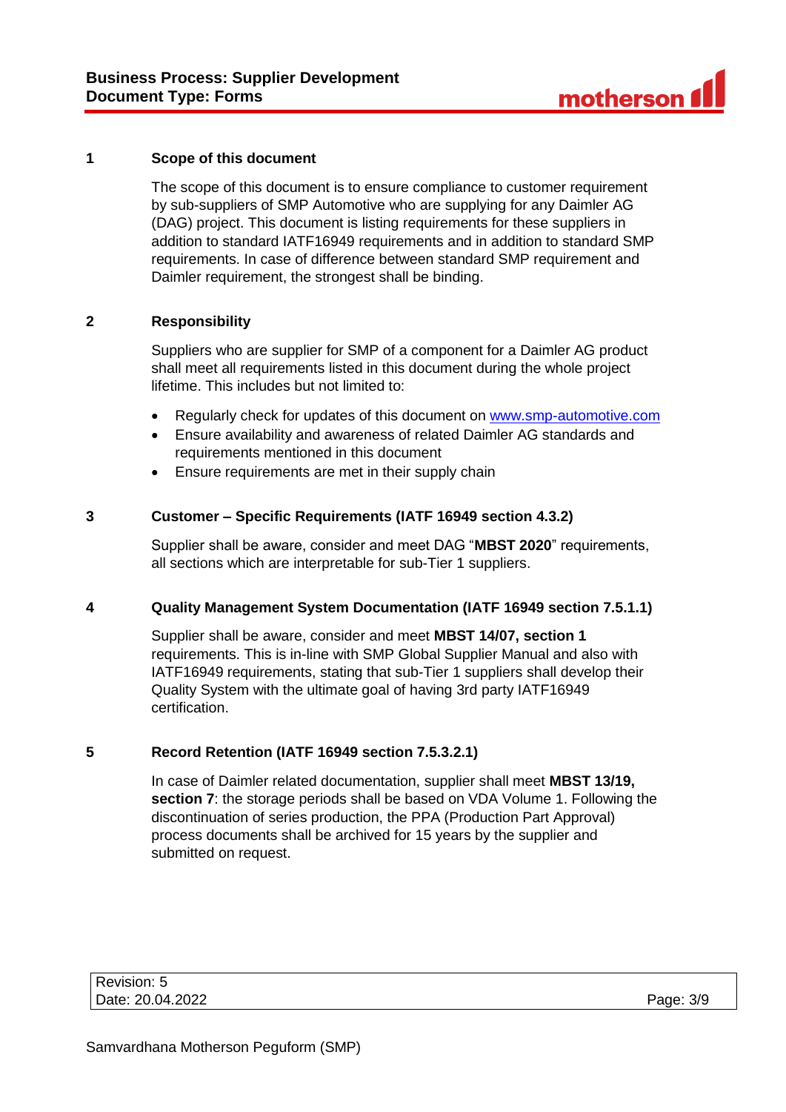#### **1 Scope of this document**

The scope of this document is to ensure compliance to customer requirement by sub-suppliers of SMP Automotive who are supplying for any Daimler AG (DAG) project. This document is listing requirements for these suppliers in addition to standard IATF16949 requirements and in addition to standard SMP requirements. In case of difference between standard SMP requirement and Daimler requirement, the strongest shall be binding.

#### **2 Responsibility**

Suppliers who are supplier for SMP of a component for a Daimler AG product shall meet all requirements listed in this document during the whole project lifetime. This includes but not limited to:

- Regularly check for updates of this document on [www.smp-automotive.com](file:///C:/Users/B30577/Desktop/SMP%20Supplier%20Manual/Supplier%20Manual%20final/www.smp-automotive.com)
- Ensure availability and awareness of related Daimler AG standards and requirements mentioned in this document
- Ensure requirements are met in their supply chain

#### **3 Customer – Specific Requirements (IATF 16949 section 4.3.2)**

Supplier shall be aware, consider and meet DAG "**MBST 2020**" requirements, all sections which are interpretable for sub-Tier 1 suppliers.

#### **4 Quality Management System Documentation (IATF 16949 section 7.5.1.1)**

Supplier shall be aware, consider and meet **MBST 14/07, section 1** requirements. This is in-line with SMP Global Supplier Manual and also with IATF16949 requirements, stating that sub-Tier 1 suppliers shall develop their Quality System with the ultimate goal of having 3rd party IATF16949 certification.

#### **5 Record Retention (IATF 16949 section 7.5.3.2.1)**

In case of Daimler related documentation, supplier shall meet **MBST 13/19, section 7**: the storage periods shall be based on VDA Volume 1. Following the discontinuation of series production, the PPA (Production Part Approval) process documents shall be archived for 15 years by the supplier and submitted on request.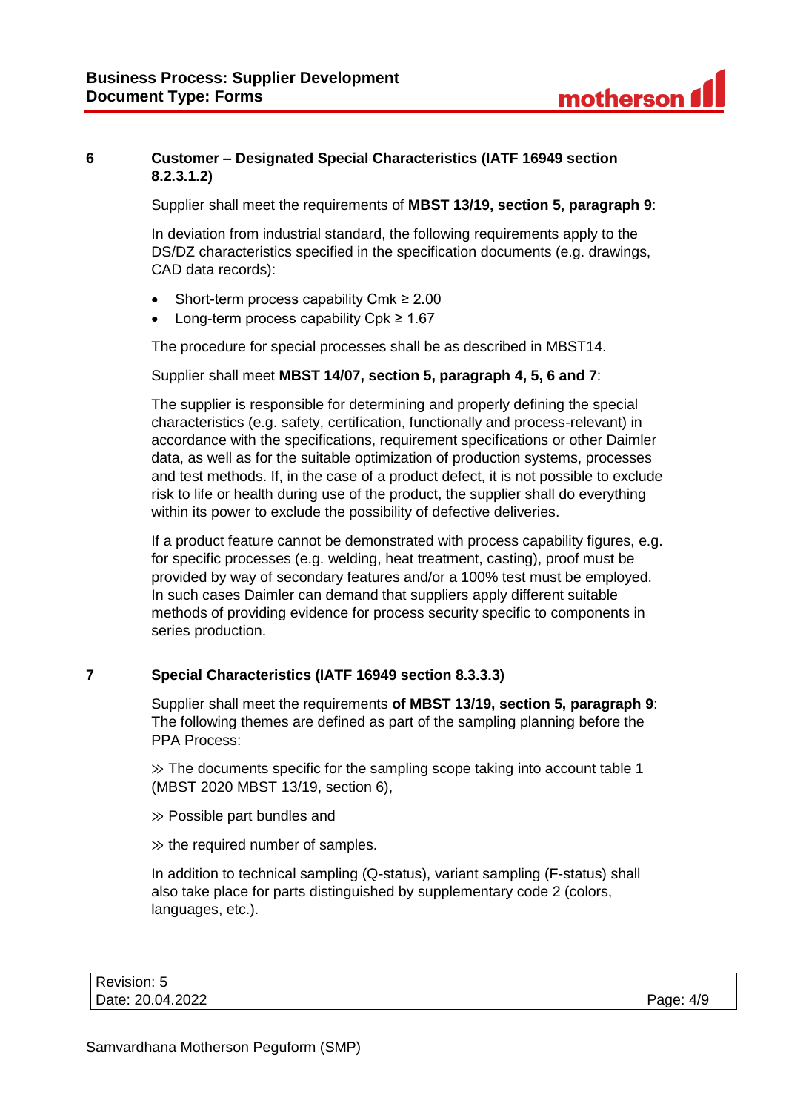# **6 Customer – Designated Special Characteristics (IATF 16949 section 8.2.3.1.2)**

Supplier shall meet the requirements of **MBST 13/19, section 5, paragraph 9**:

In deviation from industrial standard, the following requirements apply to the DS/DZ characteristics specified in the specification documents (e.g. drawings, CAD data records):

- Short-term process capability Cmk ≥ 2.00
- Long-term process capability Cpk ≥ 1.67

The procedure for special processes shall be as described in MBST14.

#### Supplier shall meet **MBST 14/07, section 5, paragraph 4, 5, 6 and 7**:

The supplier is responsible for determining and properly defining the special characteristics (e.g. safety, certification, functionally and process-relevant) in accordance with the specifications, requirement specifications or other Daimler data, as well as for the suitable optimization of production systems, processes and test methods. If, in the case of a product defect, it is not possible to exclude risk to life or health during use of the product, the supplier shall do everything within its power to exclude the possibility of defective deliveries.

If a product feature cannot be demonstrated with process capability figures, e.g. for specific processes (e.g. welding, heat treatment, casting), proof must be provided by way of secondary features and/or a 100% test must be employed. In such cases Daimler can demand that suppliers apply different suitable methods of providing evidence for process security specific to components in series production.

# **7 Special Characteristics (IATF 16949 section 8.3.3.3)**

Supplier shall meet the requirements **of MBST 13/19, section 5, paragraph 9**: The following themes are defined as part of the sampling planning before the PPA Process:

 $\gg$  The documents specific for the sampling scope taking into account table 1 (MBST 2020 MBST 13/19, section 6),

≫ Possible part bundles and

 $\gg$  the required number of samples.

In addition to technical sampling (Q-status), variant sampling (F-status) shall also take place for parts distinguished by supplementary code 2 (colors, languages, etc.).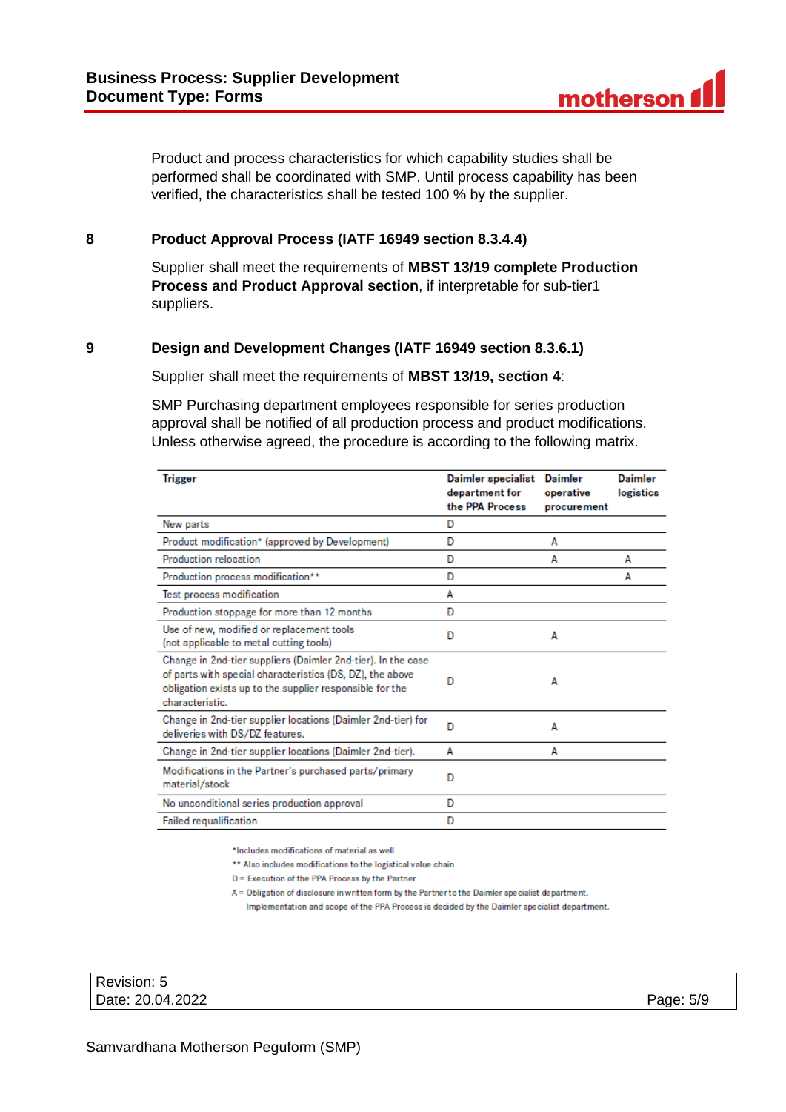Product and process characteristics for which capability studies shall be performed shall be coordinated with SMP. Until process capability has been verified, the characteristics shall be tested 100 % by the supplier.

#### **8 Product Approval Process (IATF 16949 section 8.3.4.4)**

Supplier shall meet the requirements of **MBST 13/19 complete Production Process and Product Approval section**, if interpretable for sub-tier1 suppliers.

#### **9 Design and Development Changes (IATF 16949 section 8.3.6.1)**

Supplier shall meet the requirements of **MBST 13/19, section 4**:

SMP Purchasing department employees responsible for series production approval shall be notified of all production process and product modifications. Unless otherwise agreed, the procedure is according to the following matrix.

| <b>Trigger</b>                                                                                                                                                                                           | <b>Daimler specialist</b><br>department for<br>the PPA Process | Daimler<br>operative<br>procurement | <b>Daimler</b><br>logistics |
|----------------------------------------------------------------------------------------------------------------------------------------------------------------------------------------------------------|----------------------------------------------------------------|-------------------------------------|-----------------------------|
| New parts                                                                                                                                                                                                | D                                                              |                                     |                             |
| Product modification* (approved by Development)                                                                                                                                                          | D                                                              | A                                   |                             |
| Production relocation                                                                                                                                                                                    | D                                                              | A                                   | A                           |
| Production process modification**                                                                                                                                                                        | D                                                              |                                     | А                           |
| Test process modification                                                                                                                                                                                | A                                                              |                                     |                             |
| Production stoppage for more than 12 months                                                                                                                                                              | D                                                              |                                     |                             |
| Use of new, modified or replacement tools<br>(not applicable to metal cutting tools)                                                                                                                     | D                                                              | A                                   |                             |
| Change in 2nd-tier suppliers (Daimler 2nd-tier). In the case<br>of parts with special characteristics (DS, DZ), the above<br>obligation exists up to the supplier responsible for the<br>characteristic. | D                                                              | A                                   |                             |
| Change in 2nd-tier supplier locations (Daimler 2nd-tier) for<br>deliveries with DS/DZ features.                                                                                                          | D                                                              | A                                   |                             |
| Change in 2nd-tier supplier locations (Daimler 2nd-tier).                                                                                                                                                | А                                                              | А                                   |                             |
| Modifications in the Partner's purchased parts/primary<br>material/stock                                                                                                                                 | D                                                              |                                     |                             |
| No unconditional series production approval                                                                                                                                                              | D                                                              |                                     |                             |
| <b>Failed requalification</b>                                                                                                                                                                            | D                                                              |                                     |                             |

\*Includes modifications of material as well

\*\* Also includes modifications to the logistical value chain

D = Execution of the PPA Process by the Partner

A = Obligation of disclosure in written form by the Partner to the Daimler specialist department.

Implementation and scope of the PPA Process is decided by the Daimler specialist department.

| Revision: 5      |           |
|------------------|-----------|
| Date: 20.04.2022 | Page: 5/9 |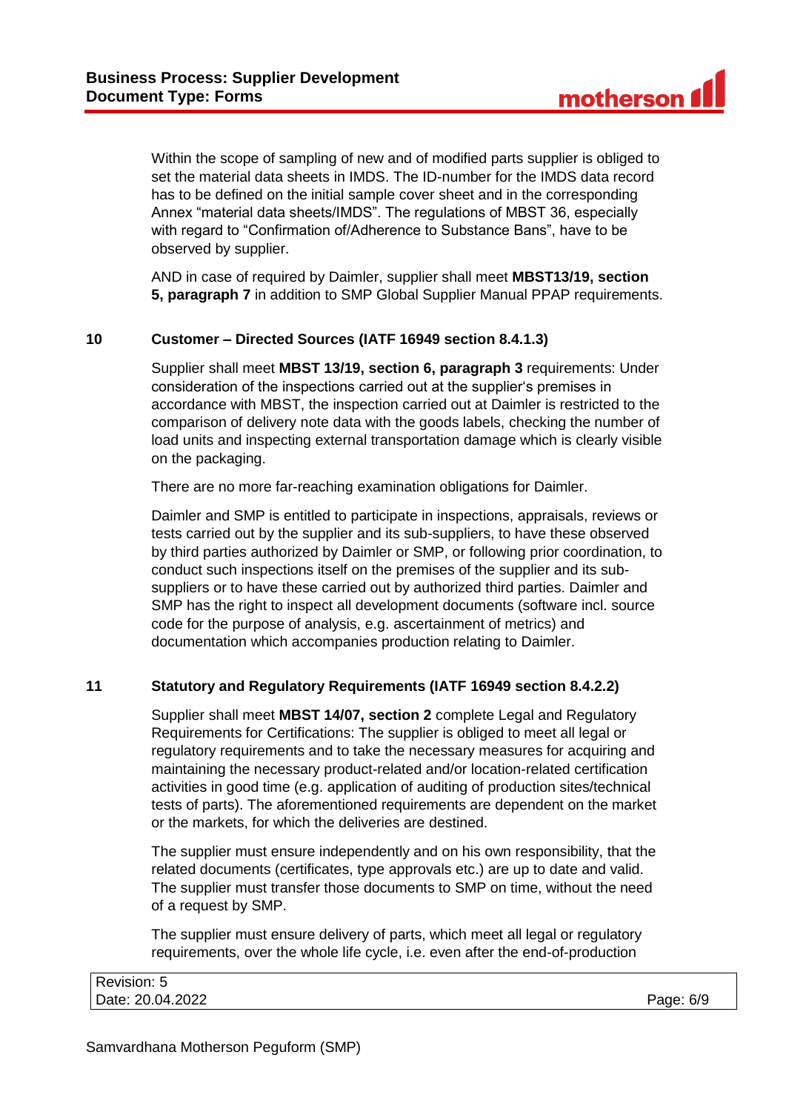Within the scope of sampling of new and of modified parts supplier is obliged to set the material data sheets in IMDS. The ID-number for the IMDS data record has to be defined on the initial sample cover sheet and in the corresponding Annex "material data sheets/IMDS". The regulations of MBST 36, especially with regard to "Confirmation of/Adherence to Substance Bans", have to be observed by supplier.

AND in case of required by Daimler, supplier shall meet **MBST13/19, section 5, paragraph 7** in addition to SMP Global Supplier Manual PPAP requirements.

#### **10 Customer – Directed Sources (IATF 16949 section 8.4.1.3)**

Supplier shall meet **MBST 13/19, section 6, paragraph 3** requirements: Under consideration of the inspections carried out at the supplier's premises in accordance with MBST, the inspection carried out at Daimler is restricted to the comparison of delivery note data with the goods labels, checking the number of load units and inspecting external transportation damage which is clearly visible on the packaging.

There are no more far-reaching examination obligations for Daimler.

Daimler and SMP is entitled to participate in inspections, appraisals, reviews or tests carried out by the supplier and its sub-suppliers, to have these observed by third parties authorized by Daimler or SMP, or following prior coordination, to conduct such inspections itself on the premises of the supplier and its subsuppliers or to have these carried out by authorized third parties. Daimler and SMP has the right to inspect all development documents (software incl. source code for the purpose of analysis, e.g. ascertainment of metrics) and documentation which accompanies production relating to Daimler.

#### **11 Statutory and Regulatory Requirements (IATF 16949 section 8.4.2.2)**

Supplier shall meet **MBST 14/07, section 2** complete Legal and Regulatory Requirements for Certifications: The supplier is obliged to meet all legal or regulatory requirements and to take the necessary measures for acquiring and maintaining the necessary product-related and/or location-related certification activities in good time (e.g. application of auditing of production sites/technical tests of parts). The aforementioned requirements are dependent on the market or the markets, for which the deliveries are destined.

The supplier must ensure independently and on his own responsibility, that the related documents (certificates, type approvals etc.) are up to date and valid. The supplier must transfer those documents to SMP on time, without the need of a request by SMP.

The supplier must ensure delivery of parts, which meet all legal or regulatory requirements, over the whole life cycle, i.e. even after the end-of-production

| Revision: 5      |           |
|------------------|-----------|
| Date: 20.04.2022 | Page: 6/9 |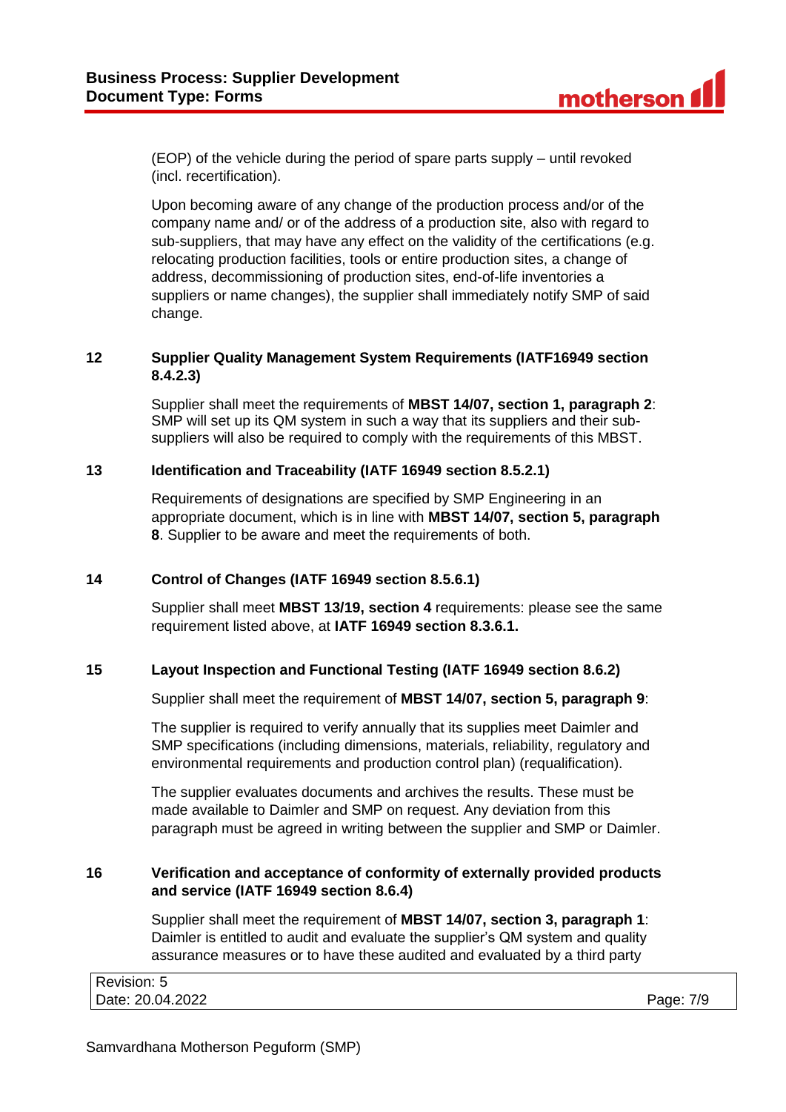(EOP) of the vehicle during the period of spare parts supply – until revoked (incl. recertification).

Upon becoming aware of any change of the production process and/or of the company name and/ or of the address of a production site, also with regard to sub-suppliers, that may have any effect on the validity of the certifications (e.g. relocating production facilities, tools or entire production sites, a change of address, decommissioning of production sites, end-of-life inventories a suppliers or name changes), the supplier shall immediately notify SMP of said change.

# **12 Supplier Quality Management System Requirements (IATF16949 section 8.4.2.3)**

Supplier shall meet the requirements of **MBST 14/07, section 1, paragraph 2**: SMP will set up its QM system in such a way that its suppliers and their subsuppliers will also be required to comply with the requirements of this MBST.

## **13 Identification and Traceability (IATF 16949 section 8.5.2.1)**

Requirements of designations are specified by SMP Engineering in an appropriate document, which is in line with **MBST 14/07, section 5, paragraph 8**. Supplier to be aware and meet the requirements of both.

#### **14 Control of Changes (IATF 16949 section 8.5.6.1)**

Supplier shall meet **MBST 13/19, section 4** requirements: please see the same requirement listed above, at **IATF 16949 section 8.3.6.1.**

# **15 Layout Inspection and Functional Testing (IATF 16949 section 8.6.2)**

Supplier shall meet the requirement of **MBST 14/07, section 5, paragraph 9**:

The supplier is required to verify annually that its supplies meet Daimler and SMP specifications (including dimensions, materials, reliability, regulatory and environmental requirements and production control plan) (requalification).

The supplier evaluates documents and archives the results. These must be made available to Daimler and SMP on request. Any deviation from this paragraph must be agreed in writing between the supplier and SMP or Daimler.

#### **16 Verification and acceptance of conformity of externally provided products and service (IATF 16949 section 8.6.4)**

Supplier shall meet the requirement of **MBST 14/07, section 3, paragraph 1**: Daimler is entitled to audit and evaluate the supplier's QM system and quality assurance measures or to have these audited and evaluated by a third party

| Revision: 5      |           |
|------------------|-----------|
| Date: 20.04.2022 | Page: 7/9 |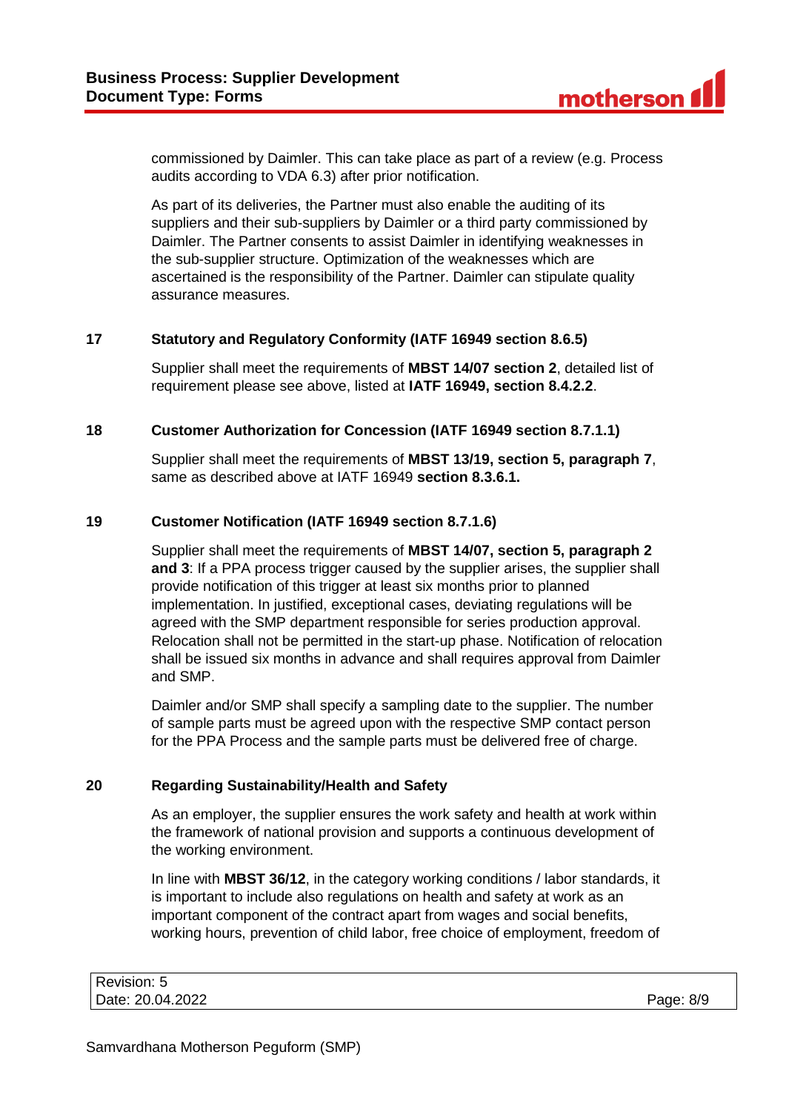commissioned by Daimler. This can take place as part of a review (e.g. Process audits according to VDA 6.3) after prior notification.

As part of its deliveries, the Partner must also enable the auditing of its suppliers and their sub-suppliers by Daimler or a third party commissioned by Daimler. The Partner consents to assist Daimler in identifying weaknesses in the sub-supplier structure. Optimization of the weaknesses which are ascertained is the responsibility of the Partner. Daimler can stipulate quality assurance measures.

# **17 Statutory and Regulatory Conformity (IATF 16949 section 8.6.5)**

Supplier shall meet the requirements of **MBST 14/07 section 2**, detailed list of requirement please see above, listed at **IATF 16949, section 8.4.2.2**.

# **18 Customer Authorization for Concession (IATF 16949 section 8.7.1.1)**

Supplier shall meet the requirements of **MBST 13/19, section 5, paragraph 7**, same as described above at IATF 16949 **section 8.3.6.1.**

# **19 Customer Notification (IATF 16949 section 8.7.1.6)**

Supplier shall meet the requirements of **MBST 14/07, section 5, paragraph 2 and 3**: If a PPA process trigger caused by the supplier arises, the supplier shall provide notification of this trigger at least six months prior to planned implementation. In justified, exceptional cases, deviating regulations will be agreed with the SMP department responsible for series production approval. Relocation shall not be permitted in the start-up phase. Notification of relocation shall be issued six months in advance and shall requires approval from Daimler and SMP.

Daimler and/or SMP shall specify a sampling date to the supplier. The number of sample parts must be agreed upon with the respective SMP contact person for the PPA Process and the sample parts must be delivered free of charge.

#### **20 Regarding Sustainability/Health and Safety**

As an employer, the supplier ensures the work safety and health at work within the framework of national provision and supports a continuous development of the working environment.

In line with **MBST 36/12**, in the category working conditions / labor standards, it is important to include also regulations on health and safety at work as an important component of the contract apart from wages and social benefits, working hours, prevention of child labor, free choice of employment, freedom of

| Revision: 5      |           |
|------------------|-----------|
| Date: 20.04.2022 | Page: 8/9 |